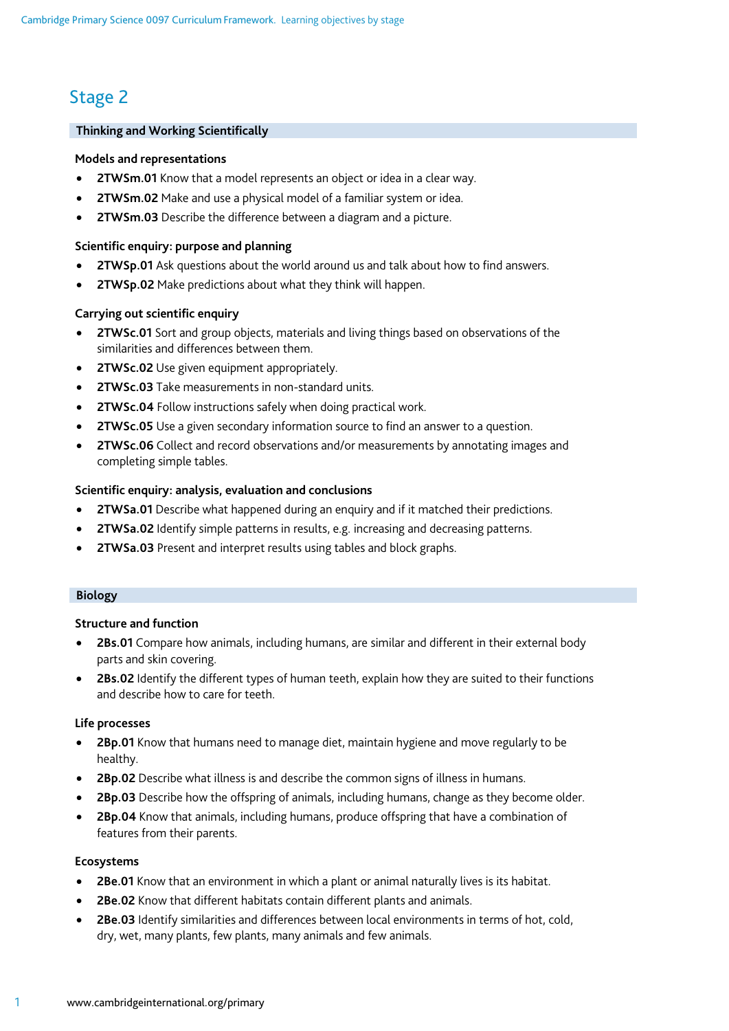# Stage 2

# **Thinking and Working Scientifically**

## **Models and representations**

- **2TWSm.01** Know that a model represents an object or idea in a clear way.
- **2TWSm.02** Make and use a physical model of a familiar system or idea.
- **2TWSm.03** Describe the difference between a diagram and a picture.

## **Scientific enquiry: purpose and planning**

- **2TWSp.01** Ask questions about the world around us and talk about how to find answers.
- **2TWSp.02** Make predictions about what they think will happen.

## **Carrying out scientific enquiry**

- **2TWSc.01** Sort and group objects, materials and living things based on observations of the similarities and differences between them.
- **2TWSc.02** Use given equipment appropriately.
- **2TWSc.03** Take measurements in non-standard units.
- **2TWSc.04** Follow instructions safely when doing practical work.
- **2TWSc.05** Use a given secondary information source to find an answer to a question.
- **2TWSc.06** Collect and record observations and/or measurements by annotating images and completing simple tables.

## **Scientific enquiry: analysis, evaluation and conclusions**

- **2TWSa.01** Describe what happened during an enquiry and if it matched their predictions.
- **2TWSa.02** Identify simple patterns in results, e.g. increasing and decreasing patterns.
- **2TWSa.03** Present and interpret results using tables and block graphs.

#### **Biology**

#### **Structure and function**

- **2Bs.01** Compare how animals, including humans, are similar and different in their external body parts and skin covering.
- **2Bs.02** Identify the different types of human teeth, explain how they are suited to their functions and describe how to care for teeth.

#### **Life processes**

- **2Bp.01** Know that humans need to manage diet, maintain hygiene and move regularly to be healthy.
- **2Bp.02** Describe what illness is and describe the common signs of illness in humans.
- **2Bp.03** Describe how the offspring of animals, including humans, change as they become older.
- **2Bp.04** Know that animals, including humans, produce offspring that have a combination of features from their parents.

#### **Ecosystems**

- **2Be.01** Know that an environment in which a plant or animal naturally lives is its habitat.
- **2Be.02** Know that different habitats contain different plants and animals.
- **2Be.03** Identify similarities and differences between local environments in terms of hot, cold, dry, wet, many plants, few plants, many animals and few animals.